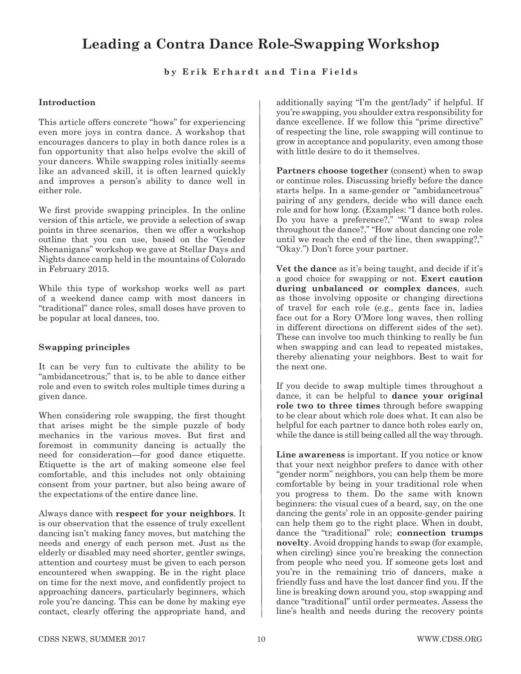# **Leading a Contra Dance Role-Swapping Workshop**

## **by Erik Erhardt and Tina Fields**

#### **Introduction**

This article offers concrete "hows" for experiencing even more joys in contra dance. A workshop that encourages dancers to play in both dance roles is a fun opportunity that also helps evolve the skill of your dancers. While swapping roles initially seems like an advanced skill, it is often learned quickly and improves a person's ability to dance well in either role.

We first provide swapping principles. In the online version of this article, we provide a selection of swap points in three scenarios, then we offer a workshop outline that you can use, based on the "Gender Shenanigans" workshop we gave at Stellar Days and Nights dance camp held in the mountains of Colorado in February 2015.

While this type of workshop works well as part of a weekend dance camp with most dancers in "traditional" dance roles, small doses have proven to be popular at local dances, too.

### **Swapping principles**

It can be very fun to cultivate the ability to be "ambidancetrous;" that is, to be able to dance either role and even to switch roles multiple times during a given dance.

When considering role swapping, the first thought that arises might be the simple puzzle of body mechanics in the various moves. But first and foremost in community dancing is actually the need for consideration*—*for good dance etiquette. Etiquette is the art of making someone else feel comfortable, and this includes not only obtaining consent from your partner, but also being aware of the expectations of the entire dance line.

Always dance with **respect for your neighbors**. It is our observation that the essence of truly excellent dancing isn't making fancy moves, but matching the needs and energy of each person met. Just as the elderly or disabled may need shorter, gentler swings, attention and courtesy must be given to each person encountered when swapping. Be in the right place on time for the next move, and confidently project to approaching dancers, particularly beginners, which role you're dancing. This can be done by making eye contact, clearly offering the appropriate hand, and

additionally saying "I'm the gent/lady" if helpful. If you're swapping, you shoulder extra responsibility for dance excellence. If we follow this "prime directive" of respecting the line, role swapping will continue to grow in acceptance and popularity, even among those with little desire to do it themselves.

**Partners choose together** (consent) when to swap or continue roles. Discussing briely before the dance starts helps. In a same-gender or "ambidancetrous" pairing of any genders, decide who will dance each role and for how long. (Examples: "I dance both roles. Do you have a preference?," "Want to swap roles throughout the dance?," "How about dancing one role until we reach the end of the line, then swapping?," "Okay.") Don't force your partner.

**Vet the dance** as it's being taught, and decide if it's a good choice for swapping or not. **Exert caution during unbalanced or complex dances**, such as those involving opposite or changing directions of travel for each role (e.g., gents face in, ladies face out for a Rory O'More long waves, then rolling in different directions on different sides of the set). These can involve too much thinking to really be fun when swapping and can lead to repeated mistakes, thereby alienating your neighbors. Best to wait for the next one.

If you decide to swap multiple times throughout a dance, it can be helpful to **dance your original role two to three times** through before swapping to be clear about which role does what. It can also be helpful for each partner to dance both roles early on, while the dance is still being called all the way through.

**Line awareness** is important. If you notice or know that your next neighbor prefers to dance with other "gender norm" neighbors, you can help them be more comfortable by being in your traditional role when you progress to them. Do the same with known beginners: the visual cues of a beard, say, on the one dancing the gents' role in an opposite-gender pairing can help them go to the right place. When in doubt, dance the "traditional" role; **connection trumps novelty**. Avoid dropping hands to swap (for example, when circling) since you're breaking the connection from people who need you. If someone gets lost and you're in the remaining trio of dancers, make a friendly fuss and have the lost dancer find you. If the line is breaking down around you, stop swapping and dance "traditional" until order permeates. Assess the line's health and needs during the recovery points